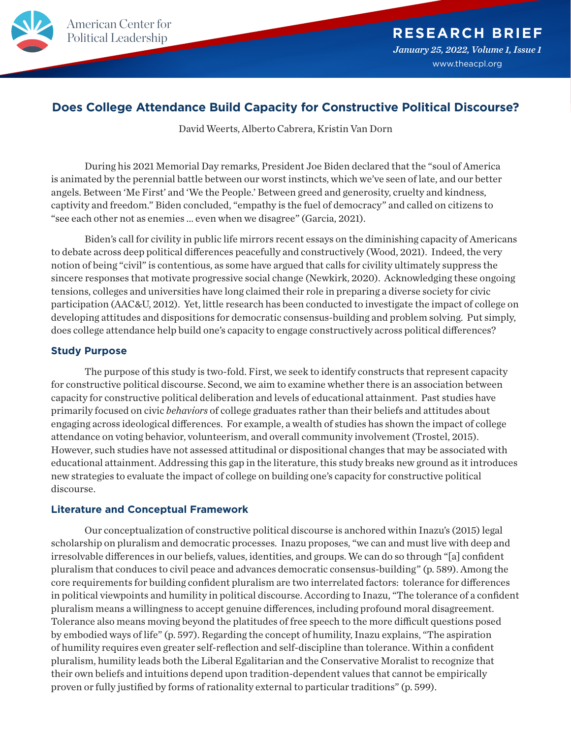

# **Does College Attendance Build Capacity for Constructive Political Discourse?**

David Weerts, Alberto Cabrera, Kristin Van Dorn

During his 2021 Memorial Day remarks, President Joe Biden declared that the "soul of America is animated by the perennial battle between our worst instincts, which we've seen of late, and our better angels. Between 'Me First' and 'We the People.' Between greed and generosity, cruelty and kindness, captivity and freedom." Biden concluded, "empathy is the fuel of democracy" and called on citizens to "see each other not as enemies ... even when we disagree" (Garcia, 2021).

Biden's call for civility in public life mirrors recent essays on the diminishing capacity of Americans to debate across deep political differences peacefully and constructively (Wood, 2021). Indeed, the very notion of being "civil" is contentious, as some have argued that calls for civility ultimately suppress the sincere responses that motivate progressive social change (Newkirk, 2020). Acknowledging these ongoing tensions, colleges and universities have long claimed their role in preparing a diverse society for civic participation (AAC&U, 2012). Yet, little research has been conducted to investigate the impact of college on developing attitudes and dispositions for democratic consensus-building and problem solving. Put simply, does college attendance help build one's capacity to engage constructively across political differences?

## **Study Purpose**

The purpose of this study is two-fold. First, we seek to identify constructs that represent capacity for constructive political discourse. Second, we aim to examine whether there is an association between capacity for constructive political deliberation and levels of educational attainment. Past studies have primarily focused on civic *behaviors* of college graduates rather than their beliefs and attitudes about engaging across ideological differences. For example, a wealth of studies has shown the impact of college attendance on voting behavior, volunteerism, and overall community involvement (Trostel, 2015). However, such studies have not assessed attitudinal or dispositional changes that may be associated with educational attainment. Addressing this gap in the literature, this study breaks new ground as it introduces new strategies to evaluate the impact of college on building one's capacity for constructive political discourse.

# **Literature and Conceptual Framework**

Our conceptualization of constructive political discourse is anchored within Inazu's (2015) legal scholarship on pluralism and democratic processes. Inazu proposes, "we can and must live with deep and irresolvable differences in our beliefs, values, identities, and groups. We can do so through "[a] confident pluralism that conduces to civil peace and advances democratic consensus-building" (p. 589). Among the core requirements for building confident pluralism are two interrelated factors: tolerance for differences in political viewpoints and humility in political discourse. According to Inazu, "The tolerance of a confident pluralism means a willingness to accept genuine differences, including profound moral disagreement. Tolerance also means moving beyond the platitudes of free speech to the more difficult questions posed by embodied ways of life" (p. 597). Regarding the concept of humility, Inazu explains, "The aspiration of humility requires even greater self-reflection and self-discipline than tolerance. Within a confident pluralism, humility leads both the Liberal Egalitarian and the Conservative Moralist to recognize that their own beliefs and intuitions depend upon tradition-dependent values that cannot be empirically proven or fully justified by forms of rationality external to particular traditions" (p. 599).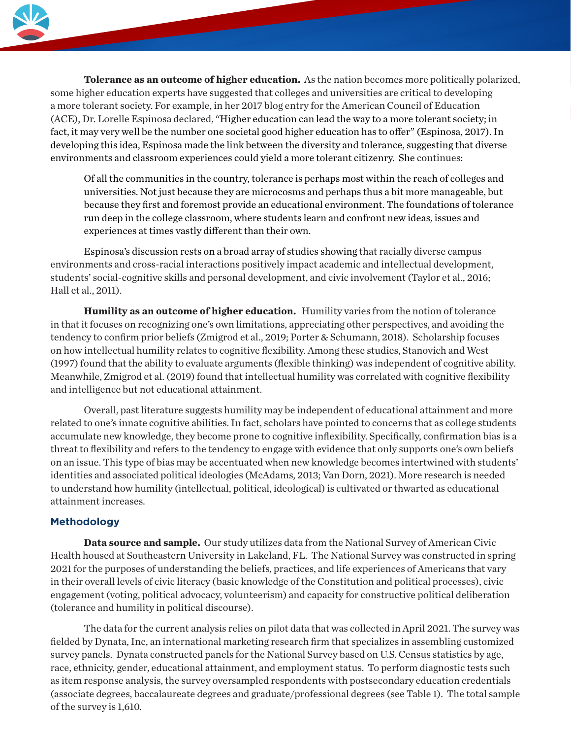

**Tolerance as an outcome of higher education.** As the nation becomes more politically polarized, some higher education experts have suggested that colleges and universities are critical to developing a more tolerant society. For example, in her 2017 blog entry for the American Council of Education (ACE), Dr. Lorelle Espinosa declared, "Higher education can lead the way to a more tolerant society; in fact, it may very well be the number one societal good higher education has to offer" (Espinosa, 2017). In developing this idea, Espinosa made the link between the diversity and tolerance, suggesting that diverse environments and classroom experiences could yield a more tolerant citizenry. She continues:

Of all the communities in the country, tolerance is perhaps most within the reach of colleges and universities. Not just because they are microcosms and perhaps thus a bit more manageable, but because they first and foremost provide an educational environment. The foundations of tolerance run deep in the college classroom, where students learn and confront new ideas, issues and experiences at times vastly different than their own.

Espinosa's discussion rests on a broad array of studies showing that racially diverse campus environments and cross-racial interactions positively impact academic and intellectual development, students' social-cognitive skills and personal development, and civic involvement (Taylor et al., 2016; Hall et al., 2011).

**Humility as an outcome of higher education.** Humility varies from the notion of tolerance in that it focuses on recognizing one's own limitations, appreciating other perspectives, and avoiding the tendency to confirm prior beliefs (Zmigrod et al., 2019; Porter & Schumann, 2018). Scholarship focuses on how intellectual humility relates to cognitive flexibility. Among these studies, Stanovich and West (1997) found that the ability to evaluate arguments (flexible thinking) was independent of cognitive ability. Meanwhile, Zmigrod et al. (2019) found that intellectual humility was correlated with cognitive flexibility and intelligence but not educational attainment.

Overall, past literature suggests humility may be independent of educational attainment and more related to one's innate cognitive abilities. In fact, scholars have pointed to concerns that as college students accumulate new knowledge, they become prone to cognitive inflexibility. Specifically, confirmation bias is a threat to flexibility and refers to the tendency to engage with evidence that only supports one's own beliefs on an issue. This type of bias may be accentuated when new knowledge becomes intertwined with students' identities and associated political ideologies (McAdams, 2013; Van Dorn, 2021). More research is needed to understand how humility (intellectual, political, ideological) is cultivated or thwarted as educational attainment increases.

# **Methodology**

**Data source and sample.** Our study utilizes data from the National Survey of American Civic Health housed at Southeastern University in Lakeland, FL. The National Survey was constructed in spring 2021 for the purposes of understanding the beliefs, practices, and life experiences of Americans that vary in their overall levels of civic literacy (basic knowledge of the Constitution and political processes), civic engagement (voting, political advocacy, volunteerism) and capacity for constructive political deliberation (tolerance and humility in political discourse).

The data for the current analysis relies on pilot data that was collected in April 2021. The survey was fielded by Dynata, Inc, an international marketing research firm that specializes in assembling customized survey panels. Dynata constructed panels for the National Survey based on U.S. Census statistics by age, race, ethnicity, gender, educational attainment, and employment status. To perform diagnostic tests such as item response analysis, the survey oversampled respondents with postsecondary education credentials (associate degrees, baccalaureate degrees and graduate/professional degrees (see Table 1). The total sample of the survey is 1,610.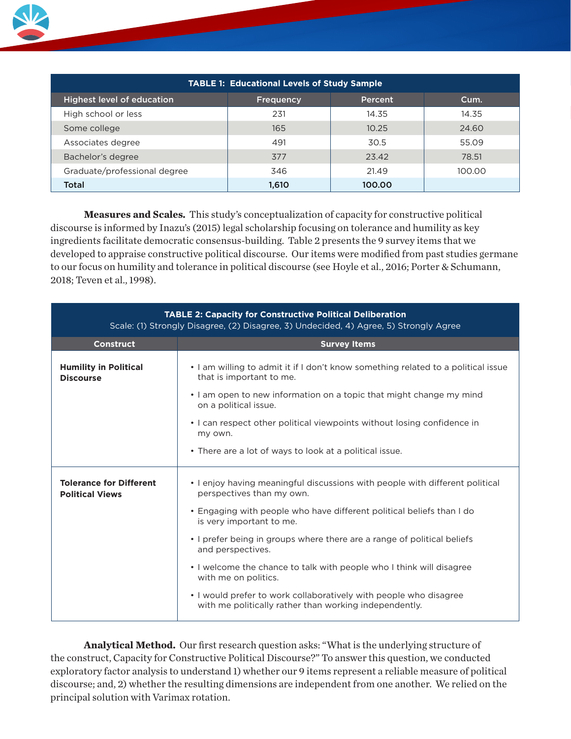

**Measures and Scales.** This study's conceptualization of capacity for constructive political discourse is informed by Inazu's (2015) legal scholarship focusing on tolerance and humility as key ingredients facilitate democratic consensus-building. Table 2 presents the 9 survey items that we developed to appraise constructive political discourse. Our items were modified from past studies germane to our focus on humility and tolerance in political discourse (see Hoyle et al., 2016; Porter & Schumann, 2018; Teven et al., 1998).

| <b>TABLE 2: Capacity for Constructive Political Deliberation</b><br>Scale: (1) Strongly Disagree, (2) Disagree, 3) Undecided, 4) Agree, 5) Strongly Agree |                                                                                                                                                                                      |  |  |  |  |  |  |  |  |
|-----------------------------------------------------------------------------------------------------------------------------------------------------------|--------------------------------------------------------------------------------------------------------------------------------------------------------------------------------------|--|--|--|--|--|--|--|--|
| <b>Construct</b>                                                                                                                                          | <b>Survey Items</b>                                                                                                                                                                  |  |  |  |  |  |  |  |  |
| <b>Humility in Political</b><br><b>Discourse</b>                                                                                                          | • I am willing to admit it if I don't know something related to a political issue<br>that is important to me.<br>• I am open to new information on a topic that might change my mind |  |  |  |  |  |  |  |  |
|                                                                                                                                                           | on a political issue.                                                                                                                                                                |  |  |  |  |  |  |  |  |
|                                                                                                                                                           | • I can respect other political viewpoints without losing confidence in<br>my own.                                                                                                   |  |  |  |  |  |  |  |  |
|                                                                                                                                                           | • There are a lot of ways to look at a political issue.                                                                                                                              |  |  |  |  |  |  |  |  |
| <b>Tolerance for Different</b><br><b>Political Views</b>                                                                                                  | • I enjoy having meaningful discussions with people with different political<br>perspectives than my own.                                                                            |  |  |  |  |  |  |  |  |
|                                                                                                                                                           | • Engaging with people who have different political beliefs than I do<br>is very important to me.                                                                                    |  |  |  |  |  |  |  |  |
|                                                                                                                                                           | • I prefer being in groups where there are a range of political beliefs<br>and perspectives.                                                                                         |  |  |  |  |  |  |  |  |
|                                                                                                                                                           | • I welcome the chance to talk with people who I think will disagree<br>with me on politics.                                                                                         |  |  |  |  |  |  |  |  |
|                                                                                                                                                           | • I would prefer to work collaboratively with people who disagree<br>with me politically rather than working independently.                                                          |  |  |  |  |  |  |  |  |

**Analytical Method.** Our first research question asks: "What is the underlying structure of the construct, Capacity for Constructive Political Discourse?" To answer this question, we conducted exploratory factor analysis to understand 1) whether our 9 items represent a reliable measure of political discourse; and, 2) whether the resulting dimensions are independent from one another. We relied on the principal solution with Varimax rotation.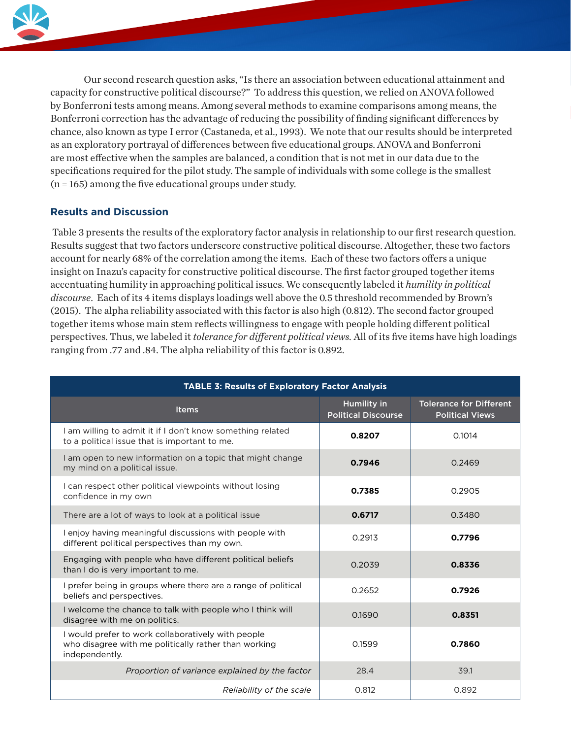

Our second research question asks, "Is there an association between educational attainment and capacity for constructive political discourse?" To address this question, we relied on ANOVA followed by Bonferroni tests among means. Among several methods to examine comparisons among means, the Bonferroni correction has the advantage of reducing the possibility of finding significant differences by chance, also known as type I error (Castaneda, et al., 1993). We note that our results should be interpreted as an exploratory portrayal of differences between five educational groups. ANOVA and Bonferroni are most effective when the samples are balanced, a condition that is not met in our data due to the specifications required for the pilot study. The sample of individuals with some college is the smallest (n = 165) among the five educational groups under study.

# **Results and Discussion**

Political Leadership

Table 3 presents the results of the exploratory factor analysis in relationship to our first research question. Results suggest that two factors underscore constructive political discourse. Altogether, these two factors account for nearly 68% of the correlation among the items. Each of these two factors offers a unique insight on Inazu's capacity for constructive political discourse. The first factor grouped together items accentuating humility in approaching political issues. We consequently labeled it *humility in political discourse*. Each of its 4 items displays loadings well above the 0.5 threshold recommended by Brown's (2015). The alpha reliability associated with this factor is also high (0.812). The second factor grouped together items whose main stem reflects willingness to engage with people holding different political perspectives. Thus, we labeled it *tolerance for different political views.* All of its five items have high loadings ranging from .77 and .84. The alpha reliability of this factor is 0.892.

| <b>TABLE 3: Results of Exploratory Factor Analysis</b>                                                                       |                                           |                                                          |  |  |  |  |  |  |
|------------------------------------------------------------------------------------------------------------------------------|-------------------------------------------|----------------------------------------------------------|--|--|--|--|--|--|
| <b>Items</b>                                                                                                                 | Humility in<br><b>Political Discourse</b> | <b>Tolerance for Different</b><br><b>Political Views</b> |  |  |  |  |  |  |
| I am willing to admit it if I don't know something related<br>to a political issue that is important to me.                  | 0.8207                                    | 0.1014                                                   |  |  |  |  |  |  |
| I am open to new information on a topic that might change<br>my mind on a political issue.                                   | 0.7946                                    | 0.2469                                                   |  |  |  |  |  |  |
| I can respect other political viewpoints without losing<br>confidence in my own                                              | 0.7385                                    | 0.2905                                                   |  |  |  |  |  |  |
| There are a lot of ways to look at a political issue                                                                         | 0.6717                                    | 0.3480                                                   |  |  |  |  |  |  |
| I enjoy having meaningful discussions with people with<br>different political perspectives than my own.                      | 0.2913                                    | 0.7796                                                   |  |  |  |  |  |  |
| Engaging with people who have different political beliefs<br>than I do is very important to me.                              | 0.2039                                    | 0.8336                                                   |  |  |  |  |  |  |
| I prefer being in groups where there are a range of political<br>beliefs and perspectives.                                   | 0.2652                                    | 0.7926                                                   |  |  |  |  |  |  |
| I welcome the chance to talk with people who I think will<br>disagree with me on politics.                                   | 0.1690                                    | 0.8351                                                   |  |  |  |  |  |  |
| I would prefer to work collaboratively with people<br>who disagree with me politically rather than working<br>independently. | 0.1599                                    | 0.7860                                                   |  |  |  |  |  |  |
| Proportion of variance explained by the factor                                                                               | 28.4                                      | 39.1                                                     |  |  |  |  |  |  |
| Reliability of the scale                                                                                                     | 0.812                                     | 0.892                                                    |  |  |  |  |  |  |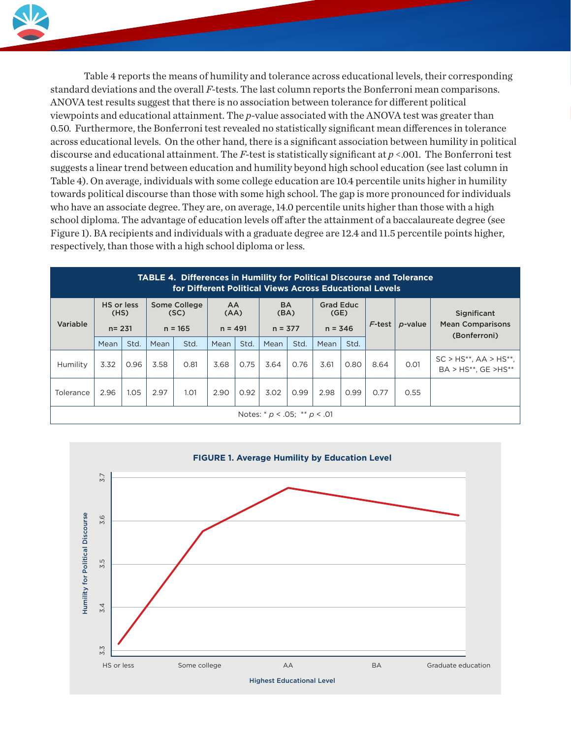

Table 4 reports the means of humility and tolerance across educational levels, their corresponding standard deviations and the overall *F-*tests. The last column reports the Bonferroni mean comparisons. ANOVA test results suggest that there is no association between tolerance for different political viewpoints and educational attainment. The *p*-value associated with the ANOVA test was greater than 0.50. Furthermore, the Bonferroni test revealed no statistically significant mean differences in tolerance across educational levels. On the other hand, there is a significant association between humility in political discourse and educational attainment. The *F-*test is statistically significant at *p* <.001. The Bonferroni test suggests a linear trend between education and humility beyond high school education (see last column in Table 4). On average, individuals with some college education are 10.4 percentile units higher in humility towards political discourse than those with some high school. The gap is more pronounced for individuals who have an associate degree. They are, on average, 14.0 percentile units higher than those with a high school diploma. The advantage of education levels off after the attainment of a baccalaureate degree (see Figure 1). BA recipients and individuals with a graduate degree are 12.4 and 11.5 percentile points higher, respectively, than those with a high school diploma or less.

| <b>TABLE 4. Differences in Humility for Political Discourse and Tolerance</b><br>for Different Political Views Across Educational Levels |                                 |      |                                   |      |                         |      |                                |      |                                       |      |           |            |                                                          |
|------------------------------------------------------------------------------------------------------------------------------------------|---------------------------------|------|-----------------------------------|------|-------------------------|------|--------------------------------|------|---------------------------------------|------|-----------|------------|----------------------------------------------------------|
| Variable                                                                                                                                 | HS or less<br>(HS)<br>$n = 231$ |      | Some College<br>(SC)<br>$n = 165$ |      | AA<br>(AA)<br>$n = 491$ |      | <b>BA</b><br>(BA)<br>$n = 377$ |      | <b>Grad Educ</b><br>(GE)<br>$n = 346$ |      | $F$ -test | $p$ -value | Significant<br><b>Mean Comparisons</b><br>(Bonferroni)   |
|                                                                                                                                          | Mean                            | Std. | Mean                              | Std. | Mean                    | Std. | Mean                           | Std. | Mean                                  | Std. |           |            |                                                          |
| Humility                                                                                                                                 | 3.32                            | 0.96 | 3.58                              | 0.81 | 3.68                    | 0.75 | 3.64                           | 0.76 | 3.61                                  | 0.80 | 8.64      | 0.01       | $SC > HS^{**}$ , AA > $HS^{**}$ ,<br>BA > HS**, GE >HS** |
| Tolerance                                                                                                                                | 2.96                            | 1.05 | 2.97                              | 1.01 | 2.90                    | 0.92 | 3.02                           | 0.99 | 2.98                                  | 0.99 | 0.77      | 0.55       |                                                          |
| Notes: $* p < .05; ** p < .01$                                                                                                           |                                 |      |                                   |      |                         |      |                                |      |                                       |      |           |            |                                                          |

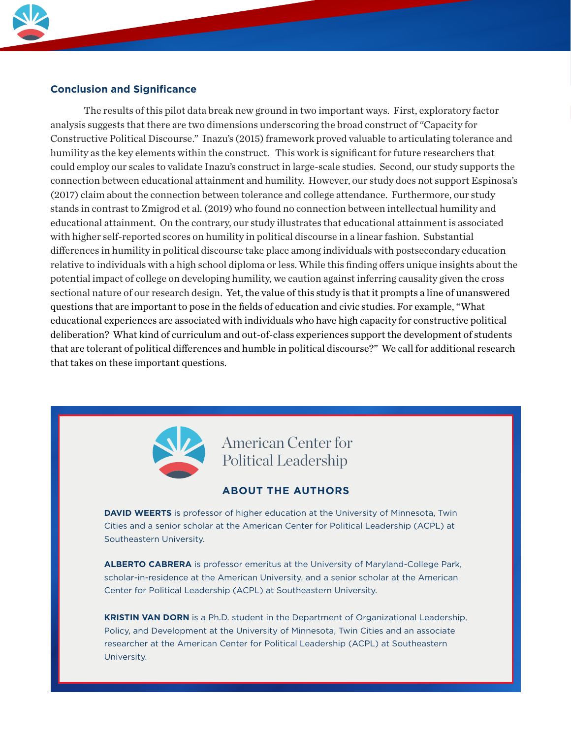

# **Conclusion and Significance**

Political Leadership

The results of this pilot data break new ground in two important ways. First, exploratory factor analysis suggests that there are two dimensions underscoring the broad construct of "Capacity for Constructive Political Discourse." Inazu's (2015) framework proved valuable to articulating tolerance and humility as the key elements within the construct. This work is significant for future researchers that could employ our scales to validate Inazu's construct in large-scale studies. Second, our study supports the connection between educational attainment and humility. However, our study does not support Espinosa's (2017) claim about the connection between tolerance and college attendance. Furthermore, our study stands in contrast to Zmigrod et al. (2019) who found no connection between intellectual humility and educational attainment. On the contrary, our study illustrates that educational attainment is associated with higher self-reported scores on humility in political discourse in a linear fashion. Substantial differences in humility in political discourse take place among individuals with postsecondary education relative to individuals with a high school diploma or less. While this finding offers unique insights about the potential impact of college on developing humility, we caution against inferring causality given the cross sectional nature of our research design. Yet, the value of this study is that it prompts a line of unanswered questions that are important to pose in the fields of education and civic studies. For example, "What educational experiences are associated with individuals who have high capacity for constructive political deliberation? What kind of curriculum and out-of-class experiences support the development of students that are tolerant of political differences and humble in political discourse?" We call for additional research that takes on these important questions.



# American Center for Political Leadership

# **ABOUT THE AUTHORS**

**DAVID WEERTS** is professor of higher education at the University of Minnesota, Twin Cities and a senior scholar at the American Center for Political Leadership (ACPL) at Southeastern University.

**ALBERTO CABRERA** is professor emeritus at the University of Maryland-College Park, scholar-in-residence at the American University, and a senior scholar at the American Center for Political Leadership (ACPL) at Southeastern University.

**KRISTIN VAN DORN** is a Ph.D. student in the Department of Organizational Leadership, Policy, and Development at the University of Minnesota, Twin Cities and an associate researcher at the American Center for Political Leadership (ACPL) at Southeastern University.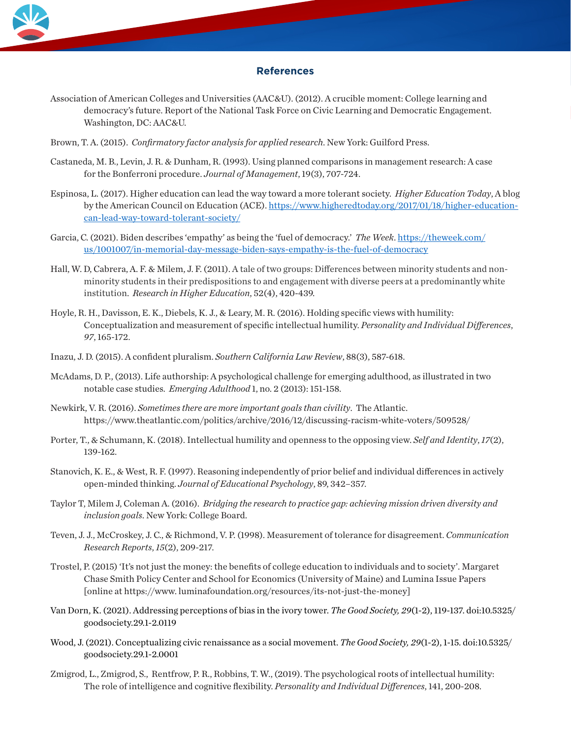

#### **References**

- Association of American Colleges and Universities (AAC&U). (2012). A crucible moment: College learning and democracy's future. Report of the National Task Force on Civic Learning and Democratic Engagement. Washington, DC: AAC&U.
- Brown, T. A. (2015). *Confirmatory factor analysis for applied research*. New York: Guilford Press.
- Castaneda, M. B., Levin, J. R. & Dunham, R. (1993). Using planned comparisons in management research: A case for the Bonferroni procedure. *Journal of Management*, 19(3), 707-724.
- Espinosa, L. (2017). Higher education can lead the way toward a more tolerant society. *Higher Education Today*, A blog by the American Council on Education (ACE). https://www.higheredtoday.org/2017/01/18/higher-educationcan-lead-way-toward-tolerant-society/
- Garcia, C. (2021). Biden describes 'empathy' as being the 'fuel of democracy.' *The Week*. https://theweek.com/ us/1001007/in-memorial-day-message-biden-says-empathy-is-the-fuel-of-democracy
- Hall, W. D, Cabrera, A. F. & Milem, J. F. (2011). A tale of two groups: Differences between minority students and nonminority students in their predispositions to and engagement with diverse peers at a predominantly white institution. *Research in Higher Education*, 52(4), 420-439.
- Hoyle, R. H., Davisson, E. K., Diebels, K. J., & Leary, M. R. (2016). Holding specific views with humility: Conceptualization and measurement of specific intellectual humility. *Personality and Individual Differences*, *97*, 165-172.
- Inazu, J. D. (2015). A confident pluralism. *Southern California Law Review*, 88(3), 587-618.
- McAdams, D. P., (2013). Life authorship: A psychological challenge for emerging adulthood, as illustrated in two notable case studies. *Emerging Adulthood* 1, no. 2 (2013): 151-158.
- Newkirk, V. R. (2016). *Sometimes there are more important goals than civility*. The Atlantic. https://www.theatlantic.com/politics/archive/2016/12/discussing-racism-white-voters/509528/
- Porter, T., & Schumann, K. (2018). Intellectual humility and openness to the opposing view. *Self and Identity*, *17*(2), 139-162.
- Stanovich, K. E., & West, R. F. (1997). Reasoning independently of prior belief and individual differences in actively open-minded thinking. *Journal of Educational Psychology*, 89, 342–357.
- Taylor T, Milem J, Coleman A. (2016). *Bridging the research to practice gap: achieving mission driven diversity and inclusion goals*. New York: College Board.
- Teven, J. J., McCroskey, J. C., & Richmond, V. P. (1998). Measurement of tolerance for disagreement. *Communication Research Reports*, *15*(2), 209-217.
- Trostel, P. (2015) 'It's not just the money: the benefits of college education to individuals and to society'. Margaret Chase Smith Policy Center and School for Economics (University of Maine) and Lumina Issue Papers [online at https://www. luminafoundation.org/resources/its-not-just-the-money]
- Van Dorn, K. (2021). Addressing perceptions of bias in the ivory tower. *The Good Society, 29*(1-2), 119-137. doi:10.5325/ goodsociety.29.1-2.0119
- Wood, J. (2021). Conceptualizing civic renaissance as a social movement. *The Good Society, 29*(1-2), 1-15. doi:10.5325/ goodsociety.29.1-2.0001
- Zmigrod, L., Zmigrod, S., Rentfrow, P. R., Robbins, T. W., (2019). The psychological roots of intellectual humility: The role of intelligence and cognitive flexibility. *Personality and Individual Differences*, 141, 200-208.